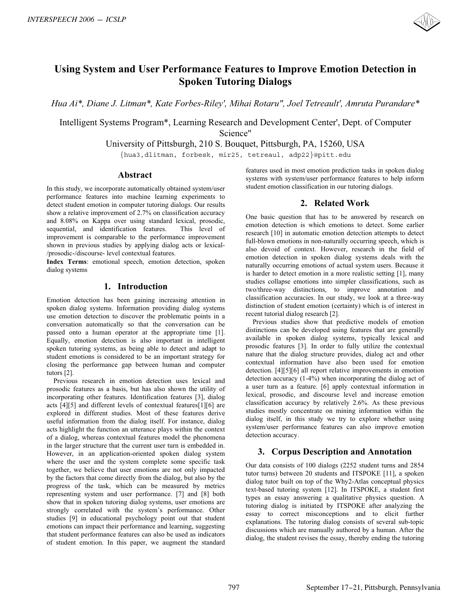

# **Using System and User Performance Features to Improve Emotion Detection in Spoken Tutoring Dialogs**

*Hua Ai\*, Diane J. Litman\*, Kate Forbes-Riley', Mihai Rotaru", Joel Tetreault', Amruta Purandare\** 

Intelligent Systems Program\*, Learning Research and Development Center', Dept. of Computer Science"

University of Pittsburgh, 210 S. Bouquet, Pittsburgh, PA, 15260, USA

{hua3,dlitman, forbesk, mir25, tetreaul, adp22}@pitt.edu

## **Abstract**

In this study, we incorporate automatically obtained system/user performance features into machine learning experiments to detect student emotion in computer tutoring dialogs. Our results show a relative improvement of 2.7% on classification accuracy and 8.08% on Kappa over using standard lexical, prosodic, sequential, and identification features. This level of improvement is comparable to the performance improvement shown in previous studies by applying dialog acts or lexical- /prosodic-/discourse- level contextual features.

**Index Terms**: emotional speech, emotion detection, spoken dialog systems

## **1. Introduction**

Emotion detection has been gaining increasing attention in spoken dialog systems. Information providing dialog systems use emotion detection to discover the problematic points in a conversation automatically so that the conversation can be passed onto a human operator at the appropriate time [1]. Equally, emotion detection is also important in intelligent spoken tutoring systems, as being able to detect and adapt to student emotions is considered to be an important strategy for closing the performance gap between human and computer tutors [2].

Previous research in emotion detection uses lexical and prosodic features as a basis, but has also shown the utility of incorporating other features. Identification features [3], dialog acts [4][5] and different levels of contextual features[1][6] are explored in different studies. Most of these features derive useful information from the dialog itself. For instance, dialog acts highlight the function an utterance plays within the context of a dialog, whereas contextual features model the phenomena in the larger structure that the current user turn is embedded in. However, in an application-oriented spoken dialog system where the user and the system complete some specific task together, we believe that user emotions are not only impacted by the factors that come directly from the dialog, but also by the progress of the task, which can be measured by metrics representing system and user performance. [7] and [8] both show that in spoken tutoring dialog systems, user emotions are strongly correlated with the system's performance. Other studies [9] in educational psychology point out that student emotions can impact their performance and learning, suggesting that student performance features can also be used as indicators of student emotion. In this paper, we augment the standard **EXTREPERTIT 2609 - ICSLP<br>
Using System and User Performance Features to Impyreve Emotion Detection in<br>
Speken Tutoring Dialogs<br>
Heat AT, Disney, Limitia <sup>2</sup>, Nick Fordox-Ridge, Missin Rotare, Joel Television Centre, Dept** 

features used in most emotion prediction tasks in spoken dialog systems with system/user performance features to help inform student emotion classification in our tutoring dialogs.

#### **2. Related Work**

One basic question that has to be answered by research on emotion detection is which emotions to detect. Some earlier research [10] in automatic emotion detection attempts to detect full-blown emotions in non-naturally occurring speech, which is also devoid of context. However, research in the field of emotion detection in spoken dialog systems deals with the naturally occurring emotions of actual system users. Because it is harder to detect emotion in a more realistic setting [1], many studies collapse emotions into simpler classifications, such as two/three-way distinctions, to improve annotation and classification accuracies. In our study, we look at a three-way distinction of student emotion (certainty) which is of interest in recent tutorial dialog research [2].

Previous studies show that predictive models of emotion distinctions can be developed using features that are generally available in spoken dialog systems, typically lexical and prosodic features [3]. In order to fully utilize the contextual nature that the dialog structure provides, dialog act and other contextual information have also been used for emotion detection. [4][5][6] all report relative improvements in emotion detection accuracy (1-4%) when incorporating the dialog act of a user turn as a feature. [6] apply contextual information in lexical, prosodic, and discourse level and increase emotion classification accuracy by relatively 2.6%. As these previous studies mostly concentrate on mining information within the dialog itself, in this study we try to explore whether using system/user performance features can also improve emotion detection accuracy.

# **3. Corpus Description and Annotation**

Our data consists of 100 dialogs (2252 student turns and 2854 tutor turns) between 20 students and ITSPOKE [11], a spoken dialog tutor built on top of the Why2-Atlas conceptual physics text-based tutoring system [12]. In ITSPOKE, a student first types an essay answering a qualitative physics question. A tutoring dialog is initiated by ITSPOKE after analyzing the essay to correct misconceptions and to elicit further explanations. The tutoring dialog consists of several sub-topic discussions which are manually authored by a human. After the dialog, the student revises the essay, thereby ending the tutoring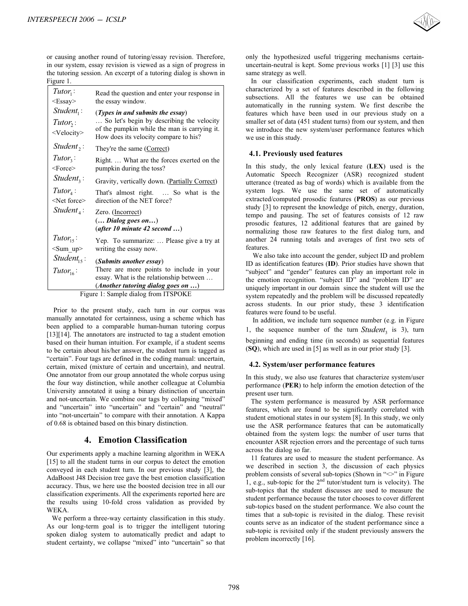

| Figure 1.                                             | or causing another round of tutoring/essay revision. Therefore,<br>in our system, essay revision is viewed as a sign of progress in<br>the tutoring session. An excerpt of a tutoring dialog is shown in                                                                                                                                                                                                                                                                                                                                                                                                                                                                                                                                                                                                                                                                                                                                                                                                |  |  |
|-------------------------------------------------------|---------------------------------------------------------------------------------------------------------------------------------------------------------------------------------------------------------------------------------------------------------------------------------------------------------------------------------------------------------------------------------------------------------------------------------------------------------------------------------------------------------------------------------------------------------------------------------------------------------------------------------------------------------------------------------------------------------------------------------------------------------------------------------------------------------------------------------------------------------------------------------------------------------------------------------------------------------------------------------------------------------|--|--|
| $Tutor_1$ :<br>$<\text{Essay}$                        | Read the question and enter your response in<br>the essay window.                                                                                                                                                                                                                                                                                                                                                                                                                                                                                                                                                                                                                                                                                                                                                                                                                                                                                                                                       |  |  |
| $Student_1$ :<br>$Tutor_2$ :<br><velocity></velocity> | ( <i>Types in and submits the essay</i> )<br>So let's begin by describing the velocity<br>of the pumpkin while the man is carrying it.<br>How does its velocity compare to his?                                                                                                                                                                                                                                                                                                                                                                                                                                                                                                                                                                                                                                                                                                                                                                                                                         |  |  |
| $Student,$ :                                          | They're the same (Correct)                                                                                                                                                                                                                                                                                                                                                                                                                                                                                                                                                                                                                                                                                                                                                                                                                                                                                                                                                                              |  |  |
| $Tutor_{3}$ :<br>$<$ Force $>$                        | Right What are the forces exerted on the                                                                                                                                                                                                                                                                                                                                                                                                                                                                                                                                                                                                                                                                                                                                                                                                                                                                                                                                                                |  |  |
| $Student_3$ :                                         | pumpkin during the toss?                                                                                                                                                                                                                                                                                                                                                                                                                                                                                                                                                                                                                                                                                                                                                                                                                                                                                                                                                                                |  |  |
|                                                       | Gravity, vertically down. (Partially Correct)                                                                                                                                                                                                                                                                                                                                                                                                                                                                                                                                                                                                                                                                                                                                                                                                                                                                                                                                                           |  |  |
| $Tutor_{4}$ :<br><net force=""></net>                 | That's almost right.  So what is the<br>direction of the NET force?                                                                                                                                                                                                                                                                                                                                                                                                                                                                                                                                                                                                                                                                                                                                                                                                                                                                                                                                     |  |  |
| $Student_{\Lambda}$ :                                 | Zero. (Incorrect)<br>$\left(\ldots \text{ Dialog goes on} \ldots\right)$<br>(after 10 minute 42 second )                                                                                                                                                                                                                                                                                                                                                                                                                                                                                                                                                                                                                                                                                                                                                                                                                                                                                                |  |  |
| $Tutor_{15}$ :<br>$<$ Sum_up $>$                      | Yep. To summarize:  Please give a try at<br>writing the essay now.                                                                                                                                                                                                                                                                                                                                                                                                                                                                                                                                                                                                                                                                                                                                                                                                                                                                                                                                      |  |  |
| Student <sub>15</sub> :                               | (Submits another essay)                                                                                                                                                                                                                                                                                                                                                                                                                                                                                                                                                                                                                                                                                                                                                                                                                                                                                                                                                                                 |  |  |
| $Tutor_{16}$ :                                        | There are more points to include in your                                                                                                                                                                                                                                                                                                                                                                                                                                                                                                                                                                                                                                                                                                                                                                                                                                                                                                                                                                |  |  |
|                                                       | essay. What is the relationship between                                                                                                                                                                                                                                                                                                                                                                                                                                                                                                                                                                                                                                                                                                                                                                                                                                                                                                                                                                 |  |  |
|                                                       | (Another tutoring dialog goes on $\ldots$ )<br>Figure 1: Sample dialog from ITSPOKE                                                                                                                                                                                                                                                                                                                                                                                                                                                                                                                                                                                                                                                                                                                                                                                                                                                                                                                     |  |  |
|                                                       | Prior to the present study, each turn in our corpus was<br>manually annotated for certainness, using a scheme which has<br>been applied to a comparable human-human tutoring corpus<br>[13][14]. The annotators are instructed to tag a student emotion<br>based on their human intuition. For example, if a student seems<br>to be certain about his/her answer, the student turn is tagged as<br>"certain". Four tags are defined in the coding manual: uncertain,<br>certain, mixed (mixture of certain and uncertain), and neutral.<br>One annotator from our group annotated the whole corpus using<br>the four way distinction, while another colleague at Columbia<br>University annotated it using a binary distinction of uncertain<br>and not-uncertain. We combine our tags by collapsing "mixed"<br>and "uncertain" into "uncertain" and "certain" and "neutral"<br>into "not-uncertain" to compare with their annotation. A Kappa<br>of 0.68 is obtained based on this binary distinction. |  |  |
|                                                       | 4. Emotion Classification                                                                                                                                                                                                                                                                                                                                                                                                                                                                                                                                                                                                                                                                                                                                                                                                                                                                                                                                                                               |  |  |

# **4. Emotion Classification**

only the hypothesized useful triggering mechanisms certainuncertain-neutral is kept. Some previous works [1] [3] use this same strategy as well.

In our classification experiments, each student turn is characterized by a set of features described in the following subsections. All the features we use can be obtained automatically in the running system. We first describe the features which have been used in our previous study on a smaller set of data (451 student turns) from our system, and then we introduce the new system/user performance features which we use in this study.

#### **4.1. Previously used features**

In this study, the only lexical feature (**LEX**) used is the Automatic Speech Recognizer (ASR) recognized student utterance (treated as bag of words) which is available from the system logs. We use the same set of automatically extracted/computed prosodic features (**PROS**) as our previous study [3] to represent the knowledge of pitch, energy, duration, tempo and pausing. The set of features consists of 12 raw prosodic features, 12 additional features that are gained by normalizing those raw features to the first dialog turn, and another 24 running totals and averages of first two sets of features.

We also take into account the gender, subject ID and problem ID as identification features (**ID**). Prior studies have shown that "subject" and "gender" features can play an important role in the emotion recognition. "subject ID" and "problem ID" are uniquely important in our domain since the student will use the system repeatedly and the problem will be discussed repeatedly across students. In our prior study, these 3 identification features were found to be useful.

In addition, we include turn sequence number (e.g. in Figure 1, the sequence number of the turn  $Student_3$  is 3), turn beginning and ending time (in seconds) as sequential features (**SQ**), which are used in [5] as well as in our prior study [3].

#### **4.2. System/user performance features**

In this study, we also use features that characterize system/user performance (**PER**) to help inform the emotion detection of the present user turn.

The system performance is measured by ASR performance features, which are found to be significantly correlated with student emotional states in our system [8]. In this study, we only use the ASR performance features that can be automatically obtained from the system logs: the number of user turns that encounter ASR rejection errors and the percentage of such turns across the dialog so far.

11 features are used to measure the student performance. As we described in section 3, the discussion of each physics problem consists of several sub-topics (Shown in " $\gg$ " in Figure 1, e.g., sub-topic for the  $2<sup>nd</sup>$  tutor/student turn is velocity). The sub-topics that the student discusses are used to measure the student performance because the tutor chooses to cover different sub-topics based on the student performance. We also count the times that a sub-topic is revisited in the dialog. These revisit counts serve as an indicator of the student performance since a sub-topic is revisited only if the student previously answers the problem incorrectly [16].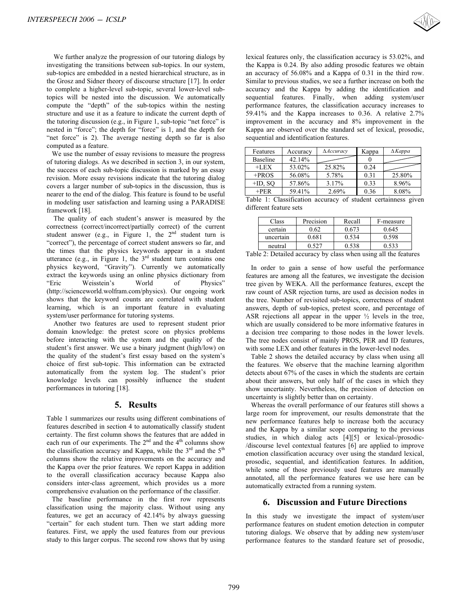We further analyze the progression of our tutoring dialogs by investigating the transitions between sub-topics. In our system, sub-topics are embedded in a nested hierarchical structure, as in the Grosz and Sidner theory of discourse structure [17]. In order to complete a higher-level sub-topic, several lower-level subtopics will be nested into the discussion. We automatically compute the "depth" of the sub-topics within the nesting structure and use it as a feature to indicate the current depth of the tutoring discussion (e.g., in Figure 1, sub-topic "net force" is nested in "force"; the depth for "force" is 1, and the depth for "net force" is 2). The average nesting depth so far is also computed as a feature.

We use the number of essay revisions to measure the progress of tutoring dialogs. As we described in section 3, in our system, the success of each sub-topic discussion is marked by an essay revision. More essay revisions indicate that the tutoring dialog covers a larger number of sub-topics in the discussion, thus is nearer to the end of the dialog. This feature is found to be useful in modeling user satisfaction and learning using a PARADISE framework [18].

 The quality of each student's answer is measured by the correctness (correct/incorrect/partially correct) of the current student answer (e.g., in Figure 1, the  $2<sup>nd</sup>$  student turn is "correct"), the percentage of correct student answers so far, and the times that the physics keywords appear in a student utterance (e.g., in Figure 1, the  $3<sup>rd</sup>$  student turn contains one physics keyword, "Gravity"). Currently we automatically extract the keywords using an online physics dictionary from "Eric Weisstein's World of Physics" (http://scienceworld.wolfram.com/physics). Our ongoing work shows that the keyword counts are correlated with student learning, which is an important feature in evaluating system/user performance for tutoring systems. INTERSPEECH 2006 - ICSLP<br>We thether analyze the propression of our tunoing dialogs by<br>monitoginating the transition between subscribes. In our system,<br>makinging are combatable in a nest<br>of hierarchic stress and the complet

 Another two features are used to represent student prior domain knowledge: the pretest score on physics problems before interacting with the system and the quality of the student's first answer. We use a binary judgment (high/low) on the quality of the student's first essay based on the system's choice of first sub-topic. This information can be extracted automatically from the system log. The student's prior knowledge levels can possibly influence the student performances in tutoring [18].

#### **5. Results**

Table 1 summarizes our results using different combinations of features described in section 4 to automatically classify student certainty. The first column shows the features that are added in each run of our experiments. The  $2<sup>nd</sup>$  and the  $4<sup>th</sup>$  columns show the classification accuracy and Kappa, while the  $3<sup>rd</sup>$  and the  $5<sup>th</sup>$ columns show the relative improvements on the accuracy and the Kappa over the prior features. We report Kappa in addition to the overall classification accuracy because Kappa also considers inter-class agreement, which provides us a more comprehensive evaluation on the performance of the classifier.

The baseline performance in the first row represents classification using the majority class. Without using any features, we get an accuracy of 42.14% by always guessing "certain" for each student turn. Then we start adding more features. First, we apply the used features from our previous study to this larger corpus. The second row shows that by using lexical features only, the classification accuracy is 53.02%, and the Kappa is 0.24. By also adding prosodic features we obtain an accuracy of 56.08% and a Kappa of 0.31 in the third row. Similar to previous studies, we see a further increase on both the accuracy and the Kappa by adding the identification and sequential features. Finally, when adding system/user performance features, the classification accuracy increases to 59.41% and the Kappa increases to 0.36. A relative 2.7% improvement in the accuracy and 8% improvement in the Kappa are observed over the standard set of lexical, prosodic, sequential and identification features.

| Features   | Accuracy | <b>AAccuracy</b> | Kappa | $\Delta$ <i>Kappa</i> |
|------------|----------|------------------|-------|-----------------------|
| Baseline   | 42.14%   |                  |       |                       |
| $+LEX$     | 53.02%   | 25.82%           | 0.24  |                       |
| $+PROS$    | 56.08%   | 5.78%            | 0.31  | 25.80%                |
| $+ID$ , SO | 57.86%   | 3.17%            | 0.33  | 8.96%                 |
| $+PER$     | 59.41%   | 2.69%            | 0.36  | 8.08%                 |

Table 1: Classification accuracy of student certainness given different feature sets

| Class     | Precision | Recall | F-measure |
|-----------|-----------|--------|-----------|
| certain   | 0.62      | 0.673  | 0.645     |
| uncertain | 0.681     | 0.534  | 0.598     |
| neutral   | በ ናን7     | 0.538  | 0.533     |

Table 2: Detailed accuracy by class when using all the features

 In order to gain a sense of how useful the performance features are among all the features, we investigate the decision tree given by WEKA. All the performance features, except the raw count of ASR rejection turns, are used as decision nodes in the tree. Number of revisited sub-topics, correctness of student answers, depth of sub-topics, pretest score, and percentage of ASR rejections all appear in the upper  $\frac{1}{2}$  levels in the tree, which are usually considered to be more informative features in a decision tree comparing to those nodes in the lower levels. The tree nodes consist of mainly PROS, PER and ID features, with some LEX and other features in the lower-level nodes.

Table 2 shows the detailed accuracy by class when using all the features. We observe that the machine learning algorithm detects about 67% of the cases in which the students are certain about their answers, but only half of the cases in which they show uncertainty. Nevertheless, the precision of detection on uncertainty is slightly better than on certainty.

 Whereas the overall performance of our features still shows a large room for improvement, our results demonstrate that the new performance features help to increase both the accuracy and the Kappa by a similar scope comparing to the previous studies, in which dialog acts [4][5] or lexical-/prosodic- /discourse level contextual features [6] are applied to improve emotion classification accuracy over using the standard lexical, prosodic, sequential, and identification features. In addition, while some of those previously used features are manually annotated, all the performance features we use here can be automatically extracted from a running system.

## **6. Discussion and Future Directions**

In this study we investigate the impact of system/user performance features on student emotion detection in computer tutoring dialogs. We observe that by adding new system/user performance features to the standard feature set of prosodic,